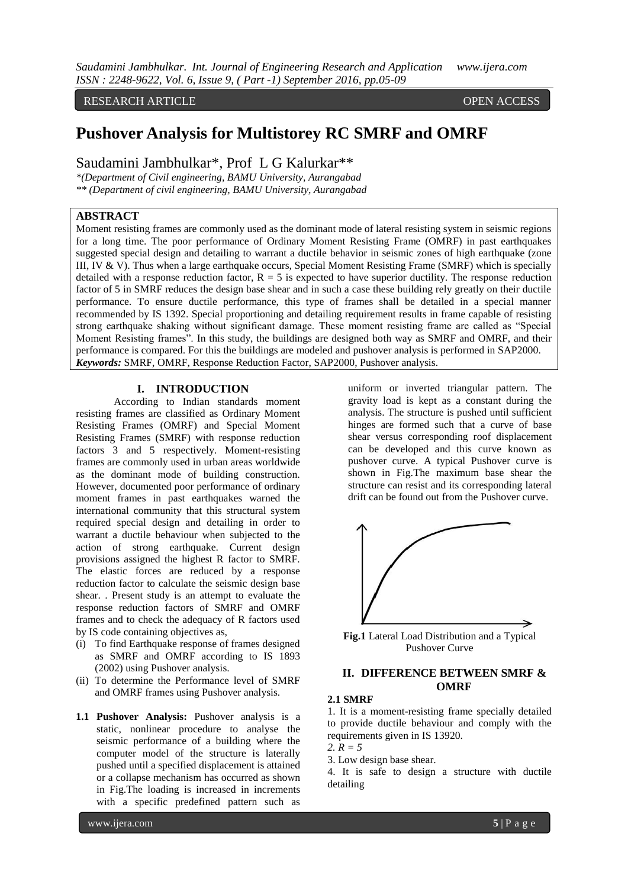RESEARCH ARTICLE **ARTICLE** And the set of the set of the set of the set of the set of the set of the set of the set of the set of the set of the set of the set of the set of the set of the set of the set of the set of the

# **Pushover Analysis for Multistorey RC SMRF and OMRF**

Saudamini Jambhulkar\*, Prof L G Kalurkar\*\*

*\*(Department of Civil engineering, BAMU University, Aurangabad \*\* (Department of civil engineering, BAMU University, Aurangabad*

# **ABSTRACT**

Moment resisting frames are commonly used as the dominant mode of lateral resisting system in seismic regions for a long time. The poor performance of Ordinary Moment Resisting Frame (OMRF) in past earthquakes suggested special design and detailing to warrant a ductile behavior in seismic zones of high earthquake (zone III, IV & V). Thus when a large earthquake occurs, Special Moment Resisting Frame (SMRF) which is specially detailed with a response reduction factor,  $R = 5$  is expected to have superior ductility. The response reduction factor of 5 in SMRF reduces the design base shear and in such a case these building rely greatly on their ductile performance. To ensure ductile performance, this type of frames shall be detailed in a special manner recommended by IS 1392. Special proportioning and detailing requirement results in frame capable of resisting strong earthquake shaking without significant damage. These moment resisting frame are called as "Special Moment Resisting frames". In this study, the buildings are designed both way as SMRF and OMRF, and their performance is compared. For this the buildings are modeled and pushover analysis is performed in SAP2000. *Keywords:* SMRF, OMRF, Response Reduction Factor, SAP2000, Pushover analysis.

### **I. INTRODUCTION**

According to Indian standards moment resisting frames are classified as Ordinary Moment Resisting Frames (OMRF) and Special Moment Resisting Frames (SMRF) with response reduction factors 3 and 5 respectively. Moment-resisting frames are commonly used in urban areas worldwide as the dominant mode of building construction. However, documented poor performance of ordinary moment frames in past earthquakes warned the international community that this structural system required special design and detailing in order to warrant a ductile behaviour when subjected to the action of strong earthquake. Current design provisions assigned the highest R factor to SMRF. The elastic forces are reduced by a response reduction factor to calculate the seismic design base shear. . Present study is an attempt to evaluate the response reduction factors of SMRF and OMRF frames and to check the adequacy of R factors used by IS code containing objectives as,

- (i) To find Earthquake response of frames designed as SMRF and OMRF according to IS 1893 (2002) using Pushover analysis.
- (ii) To determine the Performance level of SMRF and OMRF frames using Pushover analysis.
- **1.1 Pushover Analysis:** Pushover analysis is a static, nonlinear procedure to analyse the seismic performance of a building where the computer model of the structure is laterally pushed until a specified displacement is attained or a collapse mechanism has occurred as shown in Fig.The loading is increased in increments with a specific predefined pattern such as

uniform or inverted triangular pattern. The gravity load is kept as a constant during the analysis. The structure is pushed until sufficient hinges are formed such that a curve of base shear versus corresponding roof displacement can be developed and this curve known as pushover curve. A typical Pushover curve is shown in Fig.The maximum base shear the structure can resist and its corresponding lateral drift can be found out from the Pushover curve.



**Fig.1** Lateral Load Distribution and a Typical Pushover Curve

# **II. DIFFERENCE BETWEEN SMRF & OMRF**

### **2.1 SMRF**

1. It is a moment-resisting frame specially detailed to provide ductile behaviour and comply with the requirements given in IS 13920.

*2. R = 5* 

3. Low design base shear.

4. It is safe to design a structure with ductile detailing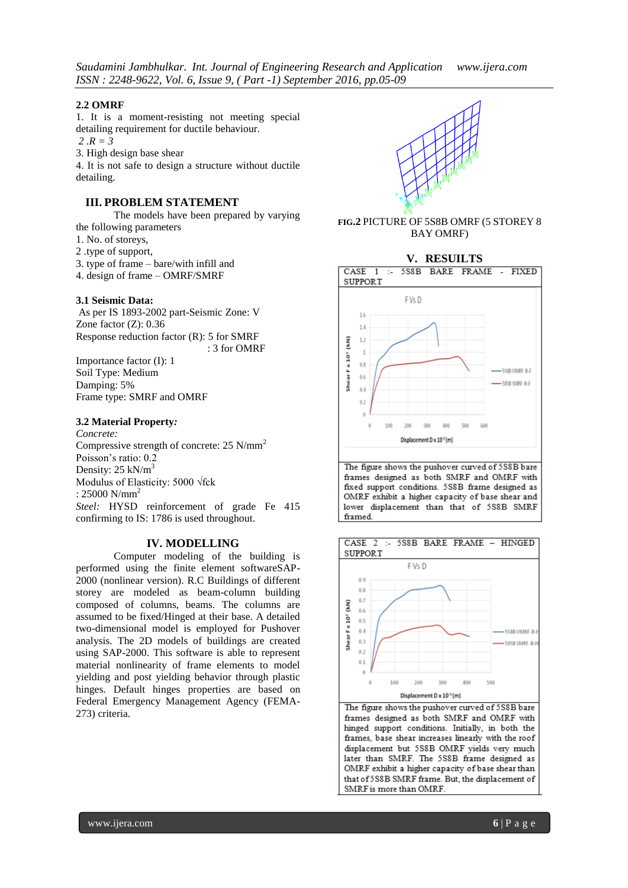### **2.2 OMRF**

1. It is a moment-resisting not meeting special detailing requirement for ductile behaviour.

 $2 R = 3$ 

3. High design base shear

4. It is not safe to design a structure without ductile detailing.

# **III. PROBLEM STATEMENT**

The models have been prepared by varying the following parameters

- 1. No. of storeys,
- 2 .type of support,
- 3. type of frame bare/with infill and
- 4. design of frame OMRF/SMRF

### **3.1 Seismic Data:**

As per IS 1893-2002 part-Seismic Zone: V Zone factor (Z): 0.36 Response reduction factor (R): 5 for SMRF

: 3 for OMRF

Importance factor (I): 1 Soil Type: Medium Damping: 5% Frame type: SMRF and OMRF

### **3.2 Material Property***:*

*Concrete:* Compressive strength of concrete: 25 N/mm<sup>2</sup> Poisson's ratio: 0.2 Density:  $25$  kN/m<sup>3</sup> Modulus of Elasticity: 5000 √fck  $: 25000$  N/mm<sup>2</sup> *Steel:* HYSD reinforcement of grade Fe 415 confirming to IS: 1786 is used throughout.

### **IV. MODELLING**

Computer modeling of the building is performed using the finite element softwareSAP-2000 (nonlinear version). R.C Buildings of different storey are modeled as beam-column building composed of columns, beams. The columns are assumed to be fixed/Hinged at their base. A detailed two-dimensional model is employed for Pushover analysis. The 2D models of buildings are created using SAP-2000. This software is able to represent material nonlinearity of frame elements to model yielding and post yielding behavior through plastic hinges. Default hinges properties are based on Federal Emergency Management Agency (FEMA-273) criteria.



**FIG.2** PICTURE OF 5S8B OMRF (5 STOREY 8 BAY OMRF)



The figure shows the pushover curved of 5S8B bare frames designed as both SMRF and OMRF with fixed support conditions. 5S8B frame designed as OMRF exhibit a higher capacity of base shear and lower displacement than that of 5S8B SMRF framed.



The figure shows the pushover curved of 5S8B bare frames designed as both SMRF and OMRF with hinged support conditions. Initially, in both the frames, base shear increases linearly with the roof displacement but 5S8B OMRF yields very much later than SMRF. The 5S8B frame designed as OMRF exhibit a higher capacity of base shear than that of 5S8B SMRF frame. But, the displacement of SMRF is more than OMRF.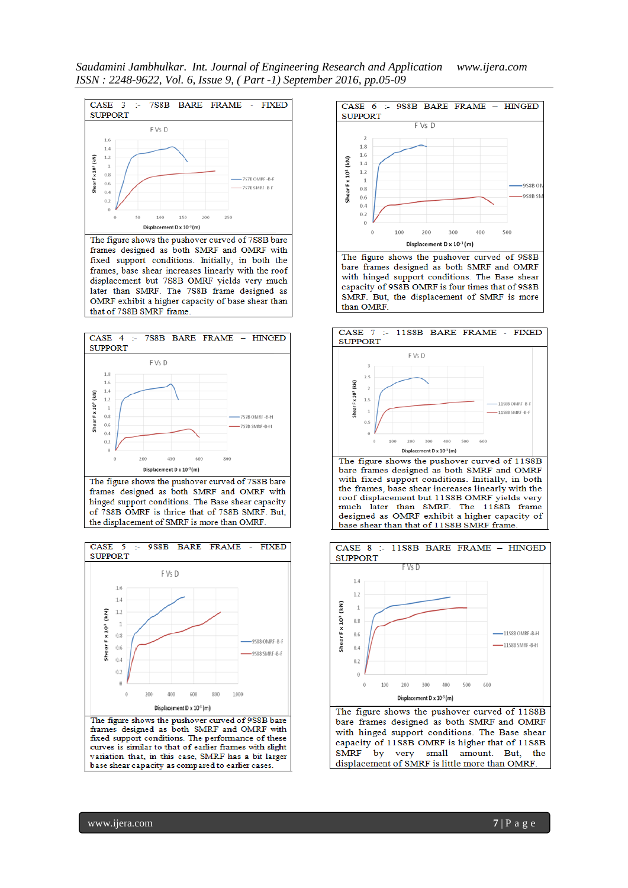*Saudamini Jambhulkar. Int. Journal of Engineering Research and Application www.ijera.com ISSN : 2248-9622, Vol. 6, Issue 9, ( Part -1) September 2016, pp.05-09*



frames designed as both SMRF and OMRF with fixed support conditions. Initially, in both the frames, base shear increases linearly with the roof displacement but 7S8B OMRF yields very much later than SMRF. The 7S8B frame designed as OMRF exhibit a higher capacity of base shear than that of 7S8B SMRF frame.



The figure shows the pushover curved of 7S8B bare frames designed as both SMRF and OMRF with hinged support conditions. The Base shear capacity of 7S8B OMRF is thrice that of 7S8B SMRF. But, the displacement of SMRF is more than OMRF.





bare frames designed as both SMRF and OMRF with hinged support conditions. The Base shear capacity of 9S8B OMRF is four times that of 9S8B SMRF. But, the displacement of SMRF is more than OMRF.



bare frames designed as both SMRF and OMRF with fixed support conditions. Initially, in both the frames, base shear increases linearly with the roof displacement but 11S8B OMRF yields very much later than SMRF. The 11S8B frame designed as OMRF exhibit a higher capacity of base shear than that of 11S8B SMRF frame



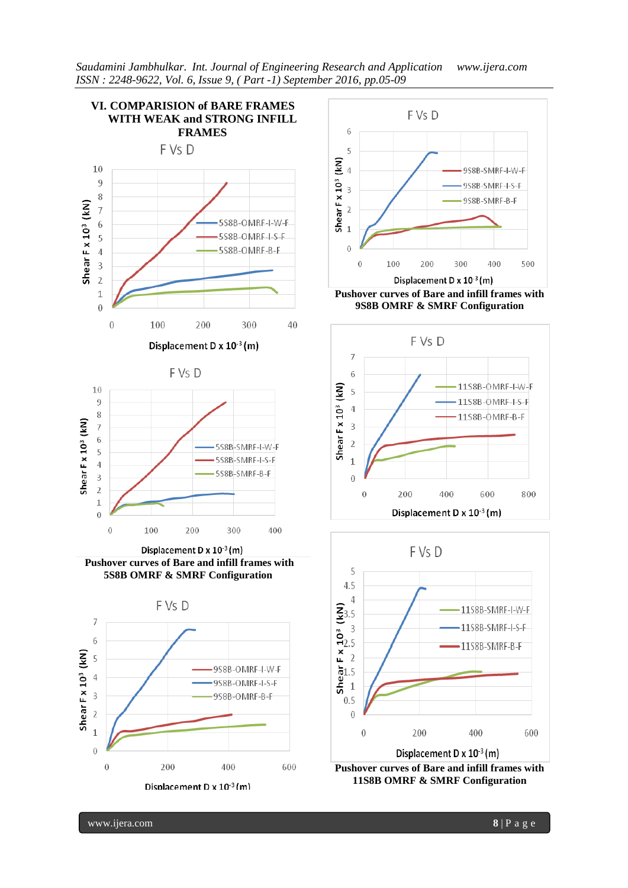







 $0.5$ 

 $\boldsymbol{0}$ 

www.ijera.com **8** | P a g e